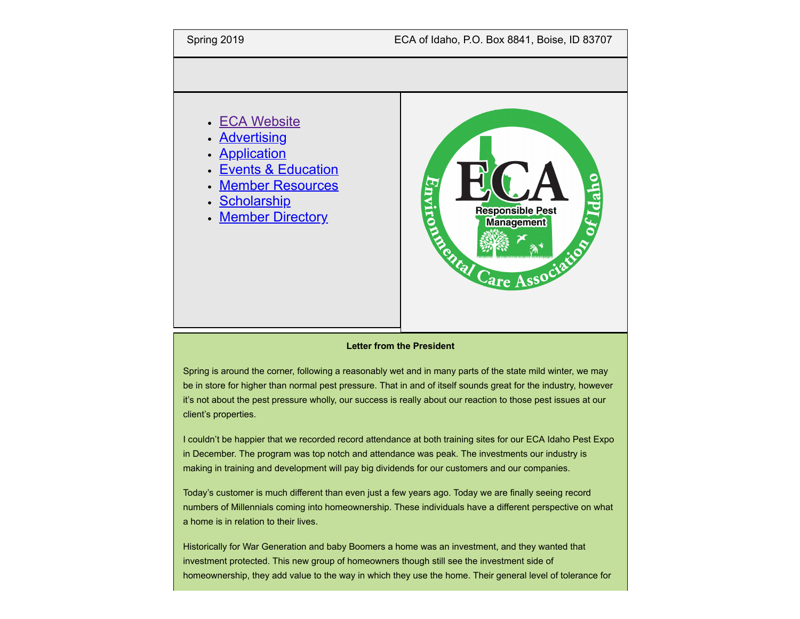

### **Letter from the President**

Spring is around the corner, following a reasonably wet and in many parts of the state mild winter, we may be in store for higher than normal pest pressure. That in and of itself sounds great for the industry, however it's not about the pest pressure wholly, our success is really about our reaction to those pest issues at our client's properties.

I couldn't be happier that we recorded record attendance at both training sites for our ECA Idaho Pest Expo in December. The program was top notch and attendance was peak. The investments our industry is making in training and development will pay big dividends for our customers and our companies.

Today's customer is much different than even just a few years ago. Today we are finally seeing record numbers of Millennials coming into homeownership. These individuals have a different perspective on what a home is in relation to their lives.

Historically for War Generation and baby Boomers a home was an investment, and they wanted that investment protected. This new group of homeowners though still see the investment side of homeownership, they add value to the way in which they use the home. Their general level of tolerance for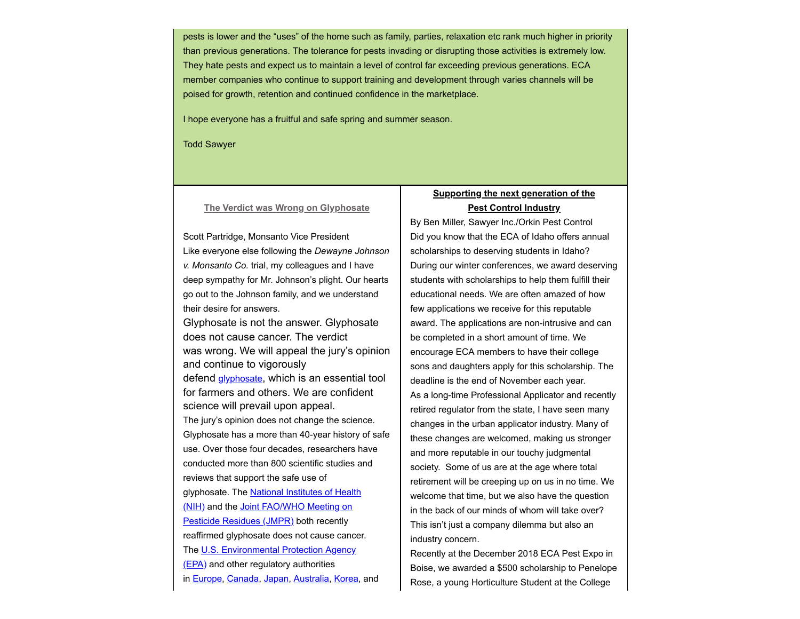pests is lower and the "uses" of the home such as family, parties, relaxation etc rank much higher in priority than previous generations. The tolerance for pests invading or disrupting those activities is extremely low. They hate pests and expect us to maintain a level of control far exceeding previous generations. ECA member companies who continue to support training and development through varies channels will be poised for growth, retention and continued confidence in the marketplace.

I hope everyone has a fruitful and safe spring and summer season.

Todd Sawyer

## **The Verdict was Wrong on Glyphosate**

Scott Partridge, Monsanto Vice President Like everyone else following the *Dewayne Johnson v. Monsanto Co.* trial, my colleagues and I have deep sympathy for Mr. Johnson's plight. Our hearts go out to the Johnson family, and we understand their desire for answers.

Glyphosate is not the answer. Glyphosate does not cause cancer. The verdict was wrong. We will appeal the jury's opinion and continue to vigorously defend <u>[glyphosate](https://monsanto.com/company/media/statements/glyphosate-herbicide/)</u>, which is an essential tool for farmers and others. We are confident science will prevail upon appeal. The jury's opinion does not change the science. Glyphosate has a more than 40-year history of safe use. Over those four decades, researchers have conducted more than 800 scientific studies and reviews that support the safe use of glyphosate. The **National Institutes of Health** [\(NIH\) and the Joint FAO/WHO Meeting on](http://www.who.int/foodsafety/jmprsummary2016.pdf?ua=1) Pesticide Residues (JMPR) both recently reaffirmed glyphosate does not cause cancer. [The U.S. Environmental Protection Agency](https://www.epa.gov/pesticides/epa-releases-draft-risk-assessments-glyphosate) (EPA) and other regulatory authorities in [Europe,](https://echa.europa.eu/-/glyphosate-not-classified-as-a-carcinogen-by-echa) [Canada](http://www.hc-sc.gc.ca/cps-spc/pubs/pest/_decisions/rvd2017-01/index-eng.php), [Japan,](http://www.fsc.go.jp/english/fsc_activity/2014/Glyphosate_December_16.pdf) [Australia,](http://apvma.gov.au/sites/default/files/publication/20701-glyphosate-regulatory-position-report-final.pdf) [Korea,](http://www.rda.go.kr/board/board.do?mode=view&prgId=day_farmprmninfoEntry&dataNo=100000731828) and

# **Supporting the next generation of the Pest Control Industry**

By Ben Miller, Sawyer Inc./Orkin Pest Control Did you know that the ECA of Idaho offers annual scholarships to deserving students in Idaho? During our winter conferences, we award deserving students with scholarships to help them fulfill their educational needs. We are often amazed of how few applications we receive for this reputable award. The applications are non-intrusive and can be completed in a short amount of time. We encourage ECA members to have their college sons and daughters apply for this scholarship. The deadline is the end of November each year. As a long-time Professional Applicator and recently retired regulator from the state, I have seen many changes in the urban applicator industry. Many of these changes are welcomed, making us stronger and more reputable in our touchy judgmental society. Some of us are at the age where total retirement will be creeping up on us in no time. We welcome that time, but we also have the question in the back of our minds of whom will take over? This isn't just a company dilemma but also an industry concern.

Recently at the December 2018 ECA Pest Expo in Boise, we awarded a \$500 scholarship to Penelope Rose, a young Horticulture Student at the College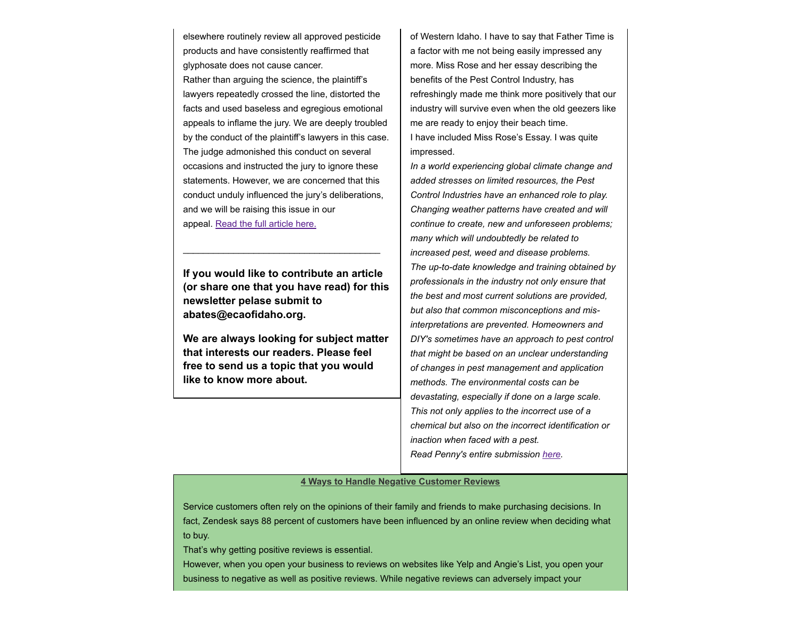elsewhere routinely review all approved pesticide products and have consistently reaffirmed that glyphosate does not cause cancer. Rather than arguing the science, the plaintiff's lawyers repeatedly crossed the line, distorted the facts and used baseless and egregious emotional appeals to inflame the jury. We are deeply troubled by the conduct of the plaintiff's lawyers in this case. The judge admonished this conduct on several occasions and instructed the jury to ignore these statements. However, we are concerned that this conduct unduly influenced the jury's deliberations,

appeal. [Read the full article here.](https://monsanto.com/news-stories/statements/roundup-glyphosate-dewayne-johnson-trial/)

and we will be raising this issue in our

**If you would like to contribute an article (or share one that you have read) for this newsletter pelase submit to abates@ecaofidaho.org.**

\_\_\_\_\_\_\_\_\_\_\_\_\_\_\_\_\_\_\_\_\_\_\_\_\_\_\_\_\_\_\_\_\_\_\_\_\_\_\_

**We are always looking for subject matter that interests our readers. Please feel free to send us a topic that you would like to know more about.**

of Western Idaho. I have to say that Father Time is a factor with me not being easily impressed any more. Miss Rose and her essay describing the benefits of the Pest Control Industry, has refreshingly made me think more positively that our industry will survive even when the old geezers like me are ready to enjoy their beach time. I have included Miss Rose's Essay. I was quite impressed.

*In a world experiencing global climate change and added stresses on limited resources, the Pest Control Industries have an enhanced role to play. Changing weather patterns have created and will continue to create, new and unforeseen problems; many which will undoubtedly be related to increased pest, weed and disease problems. The up-to-date knowledge and training obtained by professionals in the industry not only ensure that the best and most current solutions are provided, but also that common misconceptions and misinterpretations are prevented. Homeowners and DIY's sometimes have an approach to pest control that might be based on an unclear understanding of changes in pest management and application methods. The environmental costs can be devastating, especially if done on a large scale. This not only applies to the incorrect use of a chemical but also on the incorrect identification or inaction when faced with a pest. Read Penny's entire submission [here](https://drive.google.com/file/d/0B-FgbBofMF8kaTVQdUtPbm1IaU1GY00xR0tZeFZBSnk1RFpF/view?ts=5c781250).*

## **4 Ways to Handle Negative Customer Reviews**

Service customers often rely on the opinions of their family and friends to make purchasing decisions. In fact, Zendesk says 88 percent of customers have been influenced by an online review when deciding what to buy.

That's why getting positive reviews is essential.

However, when you open your business to reviews on websites like Yelp and Angie's List, you open your business to negative as well as positive reviews. While negative reviews can adversely impact your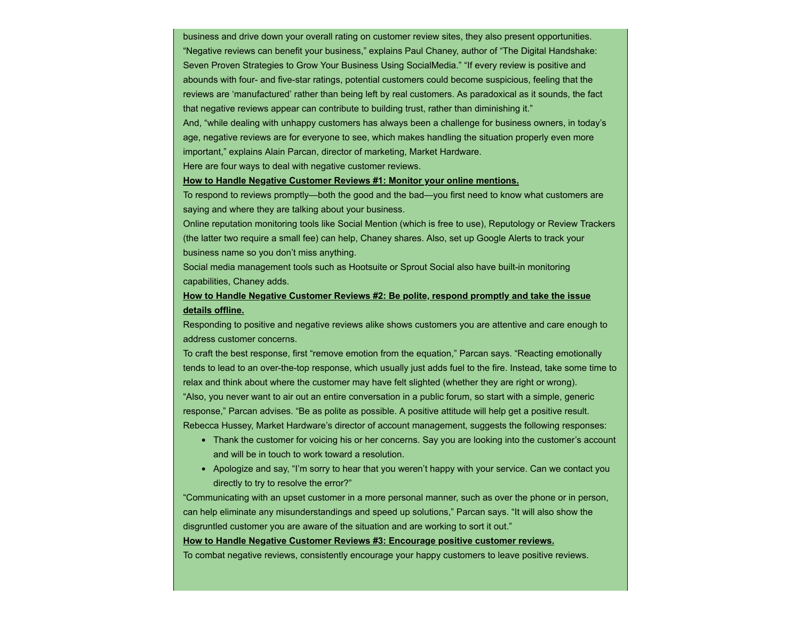business and drive down your overall rating on customer review sites, they also present opportunities. "Negative reviews can benefit your business," explains Paul Chaney, author of "The Digital Handshake: Seven Proven Strategies to Grow Your Business Using SocialMedia." "If every review is positive and abounds with four- and five-star ratings, potential customers could become suspicious, feeling that the reviews are 'manufactured' rather than being left by real customers. As paradoxical as it sounds, the fact that negative reviews appear can contribute to building trust, rather than diminishing it."

And, "while dealing with unhappy customers has always been a challenge for business owners, in today's age, negative reviews are for everyone to see, which makes handling the situation properly even more important," explains Alain Parcan, director of marketing, Market Hardware.

Here are four ways to deal with negative customer reviews.

#### **How to Handle Negative Customer Reviews #1: Monitor your online mentions.**

To respond to reviews promptly—both the good and the bad—you first need to know what customers are saying and where they are talking about your business.

Online reputation monitoring tools like Social Mention (which is free to use), Reputology or Review Trackers (the latter two require a small fee) can help, Chaney shares. Also, set up Google Alerts to track your business name so you don't miss anything.

Social media management tools such as Hootsuite or Sprout Social also have built-in monitoring capabilities, Chaney adds.

## **How to Handle Negative Customer Reviews #2: Be polite, respond promptly and take the issue details offline.**

Responding to positive and negative reviews alike shows customers you are attentive and care enough to address customer concerns.

To craft the best response, first "remove emotion from the equation," Parcan says. "Reacting emotionally tends to lead to an over-the-top response, which usually just adds fuel to the fire. Instead, take some time to relax and think about where the customer may have felt slighted (whether they are right or wrong).

"Also, you never want to air out an entire conversation in a public forum, so start with a simple, generic response," Parcan advises. "Be as polite as possible. A positive attitude will help get a positive result. Rebecca Hussey, Market Hardware's director of account management, suggests the following responses:

- Thank the customer for voicing his or her concerns. Say you are looking into the customer's account and will be in touch to work toward a resolution.
- Apologize and say, "I'm sorry to hear that you weren't happy with your service. Can we contact you directly to try to resolve the error?"

"Communicating with an upset customer in a more personal manner, such as over the phone or in person, can help eliminate any misunderstandings and speed up solutions," Parcan says. "It will also show the disgruntled customer you are aware of the situation and are working to sort it out."

#### **How to Handle Negative Customer Reviews #3: Encourage positive customer reviews.**

To combat negative reviews, consistently encourage your happy customers to leave positive reviews.